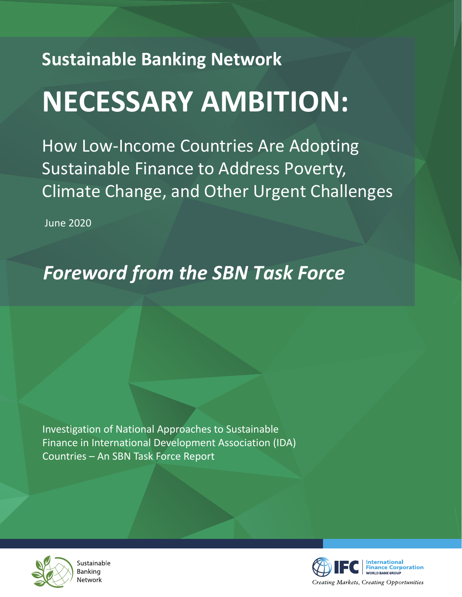## **Sustainable Banking Network NECESSARY AMBITION:**

How Low-Income Countries Are Adopting Sustainable Finance to Address Poverty, Climate Change, and Other Urgent Challenges

June 2020

## *Foreword from the SBN Task Force*

Investigation of National Approaches to Sustainable Finance in International Development Association (IDA) Countries – An SBN Task Force Report



Sustainable Banking Network